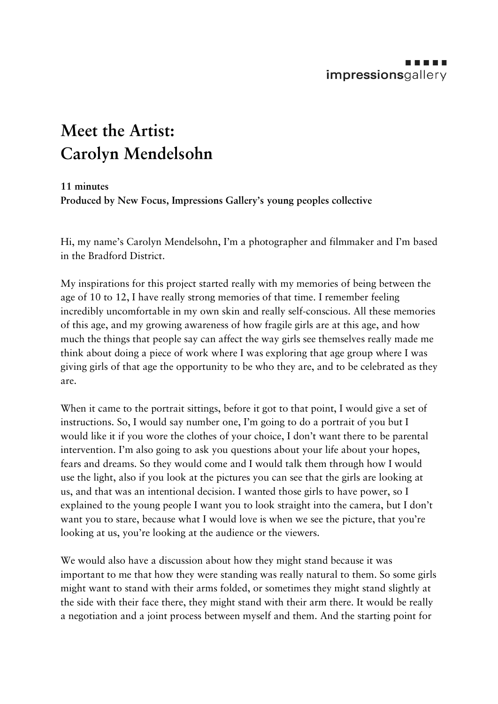## . . . . . impressionsgallery

## **Meet the Artist: Carolyn Mendelsohn**

## **11 minutes**

**Produced by New Focus, Impressions Gallery's young peoples collective** 

Hi, my name's Carolyn Mendelsohn, I'm a photographer and filmmaker and I'm based in the Bradford District.

My inspirations for this project started really with my memories of being between the age of 10 to 12, I have really strong memories of that time. I remember feeling incredibly uncomfortable in my own skin and really self-conscious. All these memories of this age, and my growing awareness of how fragile girls are at this age, and how much the things that people say can affect the way girls see themselves really made me think about doing a piece of work where I was exploring that age group where I was giving girls of that age the opportunity to be who they are, and to be celebrated as they are.

When it came to the portrait sittings, before it got to that point, I would give a set of instructions. So, I would say number one, I'm going to do a portrait of you but I would like it if you wore the clothes of your choice, I don't want there to be parental intervention. I'm also going to ask you questions about your life about your hopes, fears and dreams. So they would come and I would talk them through how I would use the light, also if you look at the pictures you can see that the girls are looking at us, and that was an intentional decision. I wanted those girls to have power, so I explained to the young people I want you to look straight into the camera, but I don't want you to stare, because what I would love is when we see the picture, that you're looking at us, you're looking at the audience or the viewers.

We would also have a discussion about how they might stand because it was important to me that how they were standing was really natural to them. So some girls might want to stand with their arms folded, or sometimes they might stand slightly at the side with their face there, they might stand with their arm there. It would be really a negotiation and a joint process between myself and them. And the starting point for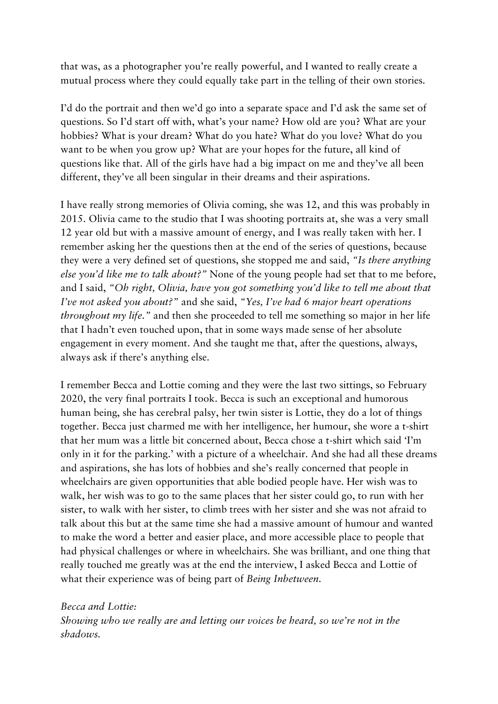that was, as a photographer you're really powerful, and I wanted to really create a mutual process where they could equally take part in the telling of their own stories.

I'd do the portrait and then we'd go into a separate space and I'd ask the same set of questions. So I'd start off with, what's your name? How old are you? What are your hobbies? What is your dream? What do you hate? What do you love? What do you want to be when you grow up? What are your hopes for the future, all kind of questions like that. All of the girls have had a big impact on me and they've all been different, they've all been singular in their dreams and their aspirations.

I have really strong memories of Olivia coming, she was 12, and this was probably in 2015. Olivia came to the studio that I was shooting portraits at, she was a very small 12 year old but with a massive amount of energy, and I was really taken with her. I remember asking her the questions then at the end of the series of questions, because they were a very defined set of questions, she stopped me and said, *"Is there anything else you'd like me to talk about?"* None of the young people had set that to me before, and I said, *"Oh right, Olivia, have you got something you'd like to tell me about that I've not asked you about?"* and she said, *"Yes, I've had 6 major heart operations throughout my life.*" and then she proceeded to tell me something so major in her life that I hadn't even touched upon, that in some ways made sense of her absolute engagement in every moment. And she taught me that, after the questions, always, always ask if there's anything else.

I remember Becca and Lottie coming and they were the last two sittings, so February 2020, the very final portraits I took. Becca is such an exceptional and humorous human being, she has cerebral palsy, her twin sister is Lottie, they do a lot of things together. Becca just charmed me with her intelligence, her humour, she wore a t-shirt that her mum was a little bit concerned about, Becca chose a t-shirt which said 'I'm only in it for the parking.' with a picture of a wheelchair. And she had all these dreams and aspirations, she has lots of hobbies and she's really concerned that people in wheelchairs are given opportunities that able bodied people have. Her wish was to walk, her wish was to go to the same places that her sister could go, to run with her sister, to walk with her sister, to climb trees with her sister and she was not afraid to talk about this but at the same time she had a massive amount of humour and wanted to make the word a better and easier place, and more accessible place to people that had physical challenges or where in wheelchairs. She was brilliant, and one thing that really touched me greatly was at the end the interview, I asked Becca and Lottie of what their experience was of being part of *Being Inbetween.*

*Becca and Lottie: Showing who we really are and letting our voices be heard, so we're not in the shadows.*